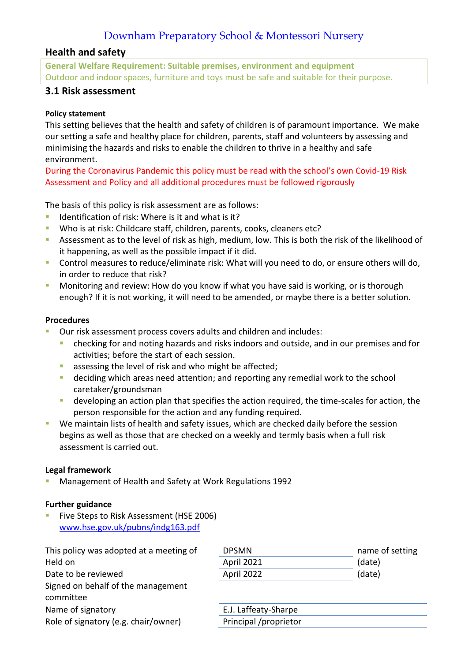# Downham Preparatory School & Montessori Nursery

# **Health and safety**

**General Welfare Requirement: Suitable premises, environment and equipment** Outdoor and indoor spaces, furniture and toys must be safe and suitable for their purpose.

# **3.1 Risk assessment**

## **Policy statement**

This setting believes that the health and safety of children is of paramount importance. We make our setting a safe and healthy place for children, parents, staff and volunteers by assessing and minimising the hazards and risks to enable the children to thrive in a healthy and safe environment.

During the Coronavirus Pandemic this policy must be read with the school's own Covid-19 Risk Assessment and Policy and all additional procedures must be followed rigorously

The basis of this policy is risk assessment are as follows:

- **E** Identification of risk: Where is it and what is it?
- Who is at risk: Childcare staff, children, parents, cooks, cleaners etc?
- **EXECT** Assessment as to the level of risk as high, medium, low. This is both the risk of the likelihood of it happening, as well as the possible impact if it did.
- Control measures to reduce/eliminate risk: What will you need to do, or ensure others will do, in order to reduce that risk?
- Monitoring and review: How do you know if what you have said is working, or is thorough enough? If it is not working, it will need to be amended, or maybe there is a better solution.

### **Procedures**

- Our risk assessment process covers adults and children and includes:
	- checking for and noting hazards and risks indoors and outside, and in our premises and for activities; before the start of each session.
	- assessing the level of risk and who might be affected;
	- deciding which areas need attention; and reporting any remedial work to the school caretaker/groundsman
	- **E** developing an action plan that specifies the action required, the time-scales for action, the person responsible for the action and any funding required.
- We maintain lists of health and safety issues, which are checked daily before the session begins as well as those that are checked on a weekly and termly basis when a full risk assessment is carried out.

### **Legal framework**

■ Management of Health and Safety at Work Regulations 1992

### **Further guidance**

**E** Five Steps to Risk Assessment (HSE 2006) [www.hse.gov.uk/pubns/indg163.pdf](http://www.hse.gov.uk/pubns/indg163.pdf)

| <b>DPSMN</b>          | name of setting |
|-----------------------|-----------------|
| <b>April 2021</b>     | (date)          |
| April 2022            | (date)          |
|                       |                 |
| E.J. Laffeaty-Sharpe  |                 |
| Principal /proprietor |                 |
|                       |                 |